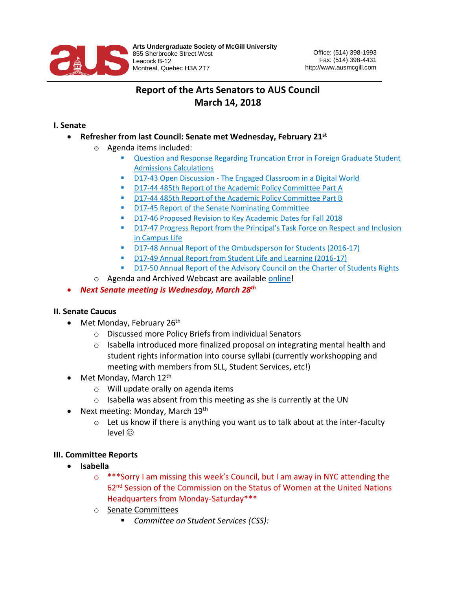

# **Report of the Arts Senators to AUS Council March 14, 2018**

### **I. Senate**

- **Refresher from last Council: Senate met Wednesday, February 21st**
	- o Agenda items included:
		- Question and Response Regarding Truncation Error in Foreign Graduate Student [Admissions Calculations](https://www.mcgill.ca/senate/files/senate/4._question_and_response_re_truncation_error.pdf)
		- D17-43 Open Discussion [The Engaged Classroom in a Digital World](https://www.mcgill.ca/senate/files/senate/5._d17-43_open_discussion_on_the_engaged_classroom.pdf)
		- [D17-44 485th Report of the Academic Policy Committee Part A](https://www.mcgill.ca/senate/files/senate/6a._d17-44_485th_apc_report_part_a.pdf)
		- [D17-44 485th Report of the Academic Policy Committee Part B](https://www.mcgill.ca/senate/files/senate/6b._d17-44_485th_apc_report_part_b.pdf)
		- [D17-45 Report of the Senate Nominating Committee](https://www.mcgill.ca/senate/files/senate/7._d17-45_nominating_report.pdf)
		- [D17-46 Proposed Revision to Key Academic Dates for Fall 2018](https://www.mcgill.ca/senate/files/senate/8._d17-46_revision_to_key_academic_dates_for_fall_2018.pdf)
		- [D17-47 Progress Report from the Principal's Task Force on Respect and Inclusion](https://www.mcgill.ca/senate/files/senate/9._d17-47_task_force_on_respect_and_inclusion_progress_report_0.pdf)  [in Campus Life](https://www.mcgill.ca/senate/files/senate/9._d17-47_task_force_on_respect_and_inclusion_progress_report_0.pdf)
		- [D17-48 Annual Report of the Ombudsperson for Students \(2016-17\)](https://www.mcgill.ca/senate/files/senate/10._d17-48_ombudsperson_for_students_annual_report.pdf)
		- [D17-49 Annual Report from Student Life and Learning \(2016-17\)](https://www.mcgill.ca/senate/files/senate/11._d17-49_student_life_and_learning_annual_report.pdf)
		- **[D17-50 Annual Report of the Advisory Council on the Charter of Students Rights](https://www.mcgill.ca/senate/files/senate/12._d17-50_advisory_council_on_the_charter_of_students_rights_annual_report.pdf)**
	- o Agenda and Archived Webcast are available [online!](https://www.mcgill.ca/senate/senate-2017-2018)
- *Next Senate meeting is Wednesday, March 28th*

#### **II. Senate Caucus**

- Met Monday, February 26<sup>th</sup>
	- o Discussed more Policy Briefs from individual Senators
	- $\circ$  Isabella introduced more finalized proposal on integrating mental health and student rights information into course syllabi (currently workshopping and meeting with members from SLL, Student Services, etc!)
- Met Monday, March  $12^{th}$ 
	- o Will update orally on agenda items
	- $\circ$  Isabella was absent from this meeting as she is currently at the UN
- Next meeting: Monday, March 19<sup>th</sup>
	- $\circ$  Let us know if there is anything you want us to talk about at the inter-faculty level ☺

#### **III. Committee Reports**

- **Isabella** 
	- $\circ$  \*\*\*Sorry I am missing this week's Council, but I am away in NYC attending the 62nd Session of the Commission on the Status of Women at the United Nations Headquarters from Monday-Saturday\*\*\*
	- o Senate Committees
		- *Committee on Student Services (CSS):*